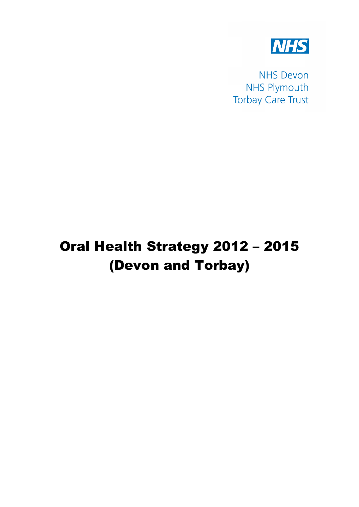

**NHS Devon NHS Plymouth Torbay Care Trust** 

# Oral Health Strategy 2012 – 2015 (Devon and Torbay)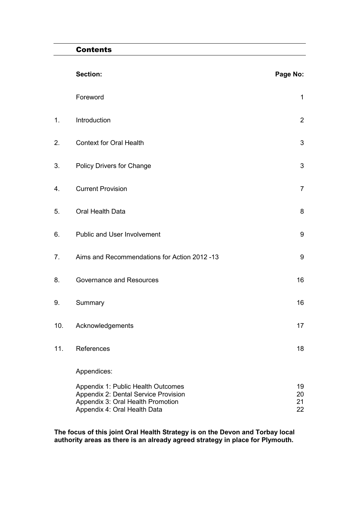### **Contents**

|     | <b>Section:</b>                                                                                                                                 | Page No:             |
|-----|-------------------------------------------------------------------------------------------------------------------------------------------------|----------------------|
|     | Foreword                                                                                                                                        | 1                    |
| 1.  | Introduction                                                                                                                                    | $\overline{2}$       |
| 2.  | <b>Context for Oral Health</b>                                                                                                                  | $\mathfrak{S}$       |
| 3.  | Policy Drivers for Change                                                                                                                       | 3                    |
| 4.  | <b>Current Provision</b>                                                                                                                        | $\overline{7}$       |
| 5.  | Oral Health Data                                                                                                                                | 8                    |
| 6.  | Public and User Involvement                                                                                                                     | $\boldsymbol{9}$     |
| 7.  | Aims and Recommendations for Action 2012 -13                                                                                                    | $\boldsymbol{9}$     |
| 8.  | Governance and Resources                                                                                                                        | 16                   |
| 9.  | Summary                                                                                                                                         | 16                   |
| 10. | Acknowledgements                                                                                                                                | 17                   |
| 11. | References                                                                                                                                      | 18                   |
|     | Appendices:                                                                                                                                     |                      |
|     | Appendix 1: Public Health Outcomes<br>Appendix 2: Dental Service Provision<br>Appendix 3: Oral Health Promotion<br>Appendix 4: Oral Health Data | 19<br>20<br>21<br>22 |

**The focus of this joint Oral Health Strategy is on the Devon and Torbay local authority areas as there is an already agreed strategy in place for Plymouth.**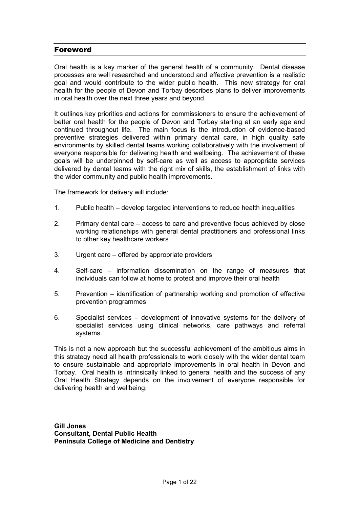#### Foreword

Oral health is a key marker of the general health of a community. Dental disease processes are well researched and understood and effective prevention is a realistic goal and would contribute to the wider public health. This new strategy for oral health for the people of Devon and Torbay describes plans to deliver improvements in oral health over the next three years and beyond.

It outlines key priorities and actions for commissioners to ensure the achievement of better oral health for the people of Devon and Torbay starting at an early age and continued throughout life. The main focus is the introduction of evidence-based preventive strategies delivered within primary dental care, in high quality safe environments by skilled dental teams working collaboratively with the involvement of everyone responsible for delivering health and wellbeing. The achievement of these goals will be underpinned by self-care as well as access to appropriate services delivered by dental teams with the right mix of skills, the establishment of links with the wider community and public health improvements.

The framework for delivery will include:

- 1. Public health develop targeted interventions to reduce health inequalities
- 2. Primary dental care access to care and preventive focus achieved by close working relationships with general dental practitioners and professional links to other key healthcare workers
- 3. Urgent care offered by appropriate providers
- 4. Self-care information dissemination on the range of measures that individuals can follow at home to protect and improve their oral health
- 5. Prevention identification of partnership working and promotion of effective prevention programmes
- 6. Specialist services development of innovative systems for the delivery of specialist services using clinical networks, care pathways and referral systems.

This is not a new approach but the successful achievement of the ambitious aims in this strategy need all health professionals to work closely with the wider dental team to ensure sustainable and appropriate improvements in oral health in Devon and Torbay. Oral health is intrinsically linked to general health and the success of any Oral Health Strategy depends on the involvement of everyone responsible for delivering health and wellbeing.

**Gill Jones Consultant, Dental Public Health Peninsula College of Medicine and Dentistry**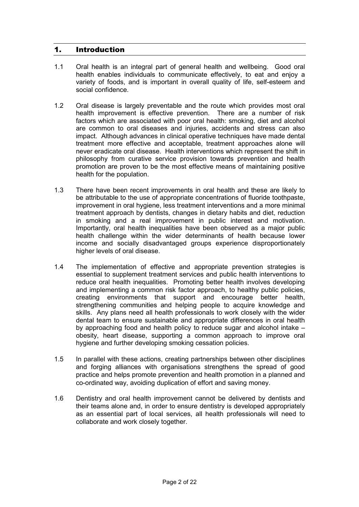### 1. Introduction

- 1.1 Oral health is an integral part of general health and wellbeing. Good oral health enables individuals to communicate effectively, to eat and enjoy a variety of foods, and is important in overall quality of life, self-esteem and social confidence.
- 1.2 Oral disease is largely preventable and the route which provides most oral health improvement is effective prevention. There are a number of risk factors which are associated with poor oral health: smoking, diet and alcohol are common to oral diseases and injuries, accidents and stress can also impact. Although advances in clinical operative techniques have made dental treatment more effective and acceptable, treatment approaches alone will never eradicate oral disease. Health interventions which represent the shift in philosophy from curative service provision towards prevention and health promotion are proven to be the most effective means of maintaining positive health for the population.
- 1.3 There have been recent improvements in oral health and these are likely to be attributable to the use of appropriate concentrations of fluoride toothpaste, improvement in oral hygiene, less treatment interventions and a more minimal treatment approach by dentists, changes in dietary habits and diet, reduction in smoking and a real improvement in public interest and motivation. Importantly, oral health inequalities have been observed as a major public health challenge within the wider determinants of health because lower income and socially disadvantaged groups experience disproportionately higher levels of oral disease.
- 1.4 The implementation of effective and appropriate prevention strategies is essential to supplement treatment services and public health interventions to reduce oral health inequalities. Promoting better health involves developing and implementing a common risk factor approach, to healthy public policies, creating environments that support and encourage better health, strengthening communities and helping people to acquire knowledge and skills. Any plans need all health professionals to work closely with the wider dental team to ensure sustainable and appropriate differences in oral health by approaching food and health policy to reduce sugar and alcohol intake – obesity, heart disease, supporting a common approach to improve oral hygiene and further developing smoking cessation policies.
- 1.5 In parallel with these actions, creating partnerships between other disciplines and forging alliances with organisations strengthens the spread of good practice and helps promote prevention and health promotion in a planned and co-ordinated way, avoiding duplication of effort and saving money.
- 1.6 Dentistry and oral health improvement cannot be delivered by dentists and their teams alone and, in order to ensure dentistry is developed appropriately as an essential part of local services, all health professionals will need to collaborate and work closely together.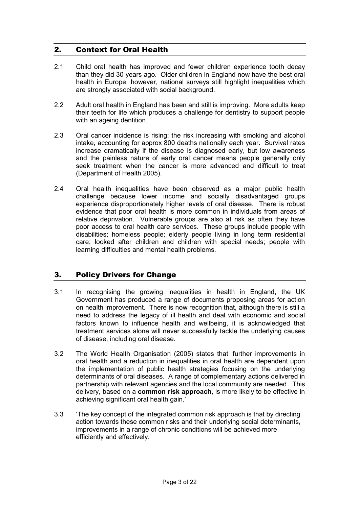# 2. Context for Oral Health

- 2.1 Child oral health has improved and fewer children experience tooth decay than they did 30 years ago. Older children in England now have the best oral health in Europe, however, national surveys still highlight inequalities which are strongly associated with social background.
- 2.2 Adult oral health in England has been and still is improving. More adults keep their teeth for life which produces a challenge for dentistry to support people with an ageing dentition.
- 2.3 Oral cancer incidence is rising; the risk increasing with smoking and alcohol intake, accounting for approx 800 deaths nationally each year. Survival rates increase dramatically if the disease is diagnosed early, but low awareness and the painless nature of early oral cancer means people generally only seek treatment when the cancer is more advanced and difficult to treat (Department of Health 2005).
- 2.4 Oral health inequalities have been observed as a major public health challenge because lower income and socially disadvantaged groups experience disproportionately higher levels of oral disease. There is robust evidence that poor oral health is more common in individuals from areas of relative deprivation. Vulnerable groups are also at risk as often they have poor access to oral health care services. These groups include people with disabilities; homeless people; elderly people living in long term residential care; looked after children and children with special needs; people with learning difficulties and mental health problems.

# 3. Policy Drivers for Change

- 3.1 In recognising the growing inequalities in health in England, the UK Government has produced a range of documents proposing areas for action on health improvement. There is now recognition that, although there is still a need to address the legacy of ill health and deal with economic and social factors known to influence health and wellbeing, it is acknowledged that treatment services alone will never successfully tackle the underlying causes of disease, including oral disease.
- 3.2 The World Health Organisation (2005) states that 'further improvements in oral health and a reduction in inequalities in oral health are dependent upon the implementation of public health strategies focusing on the underlying determinants of oral diseases. A range of complementary actions delivered in partnership with relevant agencies and the local community are needed. This delivery, based on a **common risk approach**, is more likely to be effective in achieving significant oral health gain.'
- 3.3 'The key concept of the integrated common risk approach is that by directing action towards these common risks and their underlying social determinants, improvements in a range of chronic conditions will be achieved more efficiently and effectively.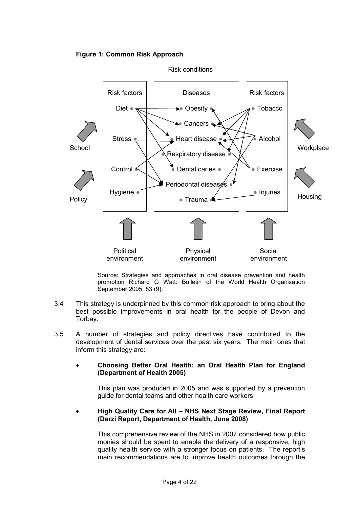



Source: Strategies and approaches in oral disease prevention and health promotion Richard G Watt: Bulletin of the World Health Organisation September 2005, 83 (9).

- 3.4 This strategy is underpinned by this common risk approach to bring about the best possible improvements in oral health for the people of Devon and Torbay.
- 3.5 A number of strategies and policy directives have contributed to the development of dental services over the past six years. The main ones that inform this strategy are:
	- **Choosing Better Oral Health: an Oral Health Plan for England (Department of Health 2005)**

 This plan was produced in 2005 and was supported by a prevention guide for dental teams and other health care workers.

• **High Quality Care for All – NHS Next Stage Review, Final Report (Darzi Report, Department of Health, June 2008)**

This comprehensive review of the NHS in 2007 considered how public monies should be spent to enable the delivery of a responsive, high quality health service with a stronger focus on patients. The report's main recommendations are to improve health outcomes through the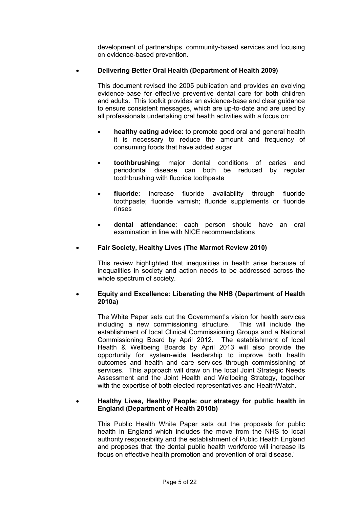development of partnerships, community-based services and focusing on evidence-based prevention.

### • **Delivering Better Oral Health (Department of Health 2009)**

This document revised the 2005 publication and provides an evolving evidence-base for effective preventive dental care for both children and adults. This toolkit provides an evidence-base and clear guidance to ensure consistent messages, which are up-to-date and are used by all professionals undertaking oral health activities with a focus on:

- **healthy eating advice**: to promote good oral and general health it is necessary to reduce the amount and frequency of consuming foods that have added sugar
- **toothbrushing**: major dental conditions of caries and periodontal disease can both be reduced by regular toothbrushing with fluoride toothpaste
- **fluoride**: increase fluoride availability through fluoride toothpaste; fluoride varnish; fluoride supplements or fluoride rinses
- **dental attendance**: each person should have an oral examination in line with NICE recommendations

### • **Fair Society, Healthy Lives (The Marmot Review 2010)**

This review highlighted that inequalities in health arise because of inequalities in society and action needs to be addressed across the whole spectrum of society.

### • **Equity and Excellence: Liberating the NHS (Department of Health 2010a)**

The White Paper sets out the Government's vision for health services including a new commissioning structure. This will include the establishment of local Clinical Commissioning Groups and a National Commissioning Board by April 2012. The establishment of local Health & Wellbeing Boards by April 2013 will also provide the opportunity for system-wide leadership to improve both health outcomes and health and care services through commissioning of services. This approach will draw on the local Joint Strategic Needs Assessment and the Joint Health and Wellbeing Strategy, together with the expertise of both elected representatives and HealthWatch.

#### • **Healthy Lives, Healthy People: our strategy for public health in England (Department of Health 2010b)**

This Public Health White Paper sets out the proposals for public health in England which includes the move from the NHS to local authority responsibility and the establishment of Public Health England and proposes that 'the dental public health workforce will increase its focus on effective health promotion and prevention of oral disease.'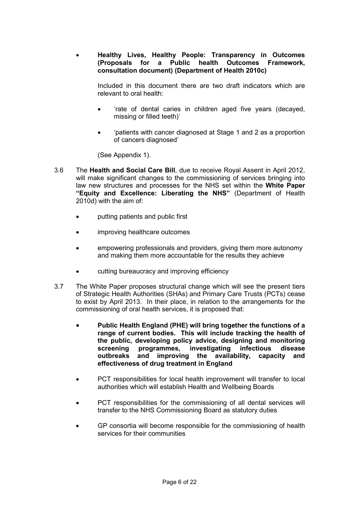• **Healthy Lives, Healthy People: Transparency in Outcomes (Proposals for a Public health Outcomes Framework, consultation document) (Department of Health 2010c)**

 Included in this document there are two draft indicators which are relevant to oral health:

- 'rate of dental caries in children aged five years (decayed, missing or filled teeth)'
- 'patients with cancer diagnosed at Stage 1 and 2 as a proportion of cancers diagnosed'

(See Appendix 1).

- 3.6 The **Health and Social Care Bill**, due to receive Royal Assent in April 2012, will make significant changes to the commissioning of services bringing into law new structures and processes for the NHS set within the **White Paper "Equity and Excellence: Liberating the NHS"** (Department of Health 2010d) with the aim of:
	- putting patients and public first
	- improving healthcare outcomes
	- empowering professionals and providers, giving them more autonomy and making them more accountable for the results they achieve
	- cutting bureaucracy and improving efficiency
- 3.7 The White Paper proposes structural change which will see the present tiers of Strategic Health Authorities (SHAs) and Primary Care Trusts (PCTs) cease to exist by April 2013. In their place, in relation to the arrangements for the commissioning of oral health services, it is proposed that:
	- **Public Health England (PHE) will bring together the functions of a range of current bodies. This will include tracking the health of the public, developing policy advice, designing and monitoring screening programmes, investigating infectious disease outbreaks and improving the availability, capacity and effectiveness of drug treatment in England**
	- PCT responsibilities for local health improvement will transfer to local authorities which will establish Health and Wellbeing Boards
	- PCT responsibilities for the commissioning of all dental services will transfer to the NHS Commissioning Board as statutory duties
	- GP consortia will become responsible for the commissioning of health services for their communities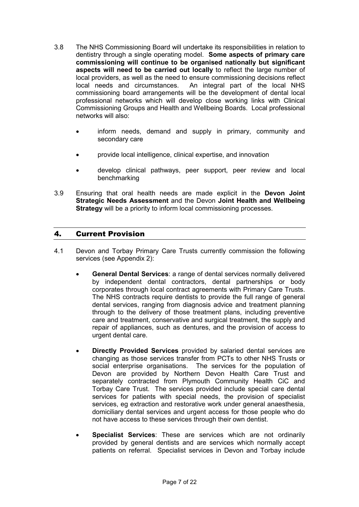- 3.8 The NHS Commissioning Board will undertake its responsibilities in relation to dentistry through a single operating model. **Some aspects of primary care commissioning will continue to be organised nationally but significant aspects will need to be carried out locally** to reflect the large number of local providers, as well as the need to ensure commissioning decisions reflect local needs and circumstances. An integral part of the local NHS commissioning board arrangements will be the development of dental local professional networks which will develop close working links with Clinical Commissioning Groups and Health and Wellbeing Boards. Local professional networks will also:
	- inform needs, demand and supply in primary, community and secondary care
	- provide local intelligence, clinical expertise, and innovation
	- develop clinical pathways, peer support, peer review and local benchmarking
- 3.9 Ensuring that oral health needs are made explicit in the **Devon Joint Strategic Needs Assessment** and the Devon **Joint Health and Wellbeing Strategy** will be a priority to inform local commissioning processes.

### 4. Current Provision

- 4.1 Devon and Torbay Primary Care Trusts currently commission the following services (see Appendix 2):
	- **General Dental Services**: a range of dental services normally delivered by independent dental contractors, dental partnerships or body corporates through local contract agreements with Primary Care Trusts. The NHS contracts require dentists to provide the full range of general dental services, ranging from diagnosis advice and treatment planning through to the delivery of those treatment plans, including preventive care and treatment, conservative and surgical treatment, the supply and repair of appliances, such as dentures, and the provision of access to urgent dental care.
	- **Directly Provided Services** provided by salaried dental services are changing as those services transfer from PCTs to other NHS Trusts or social enterprise organisations. The services for the population of Devon are provided by Northern Devon Health Care Trust and separately contracted from Plymouth Community Health CiC and Torbay Care Trust. The services provided include special care dental services for patients with special needs, the provision of specialist services, eg extraction and restorative work under general anaesthesia, domiciliary dental services and urgent access for those people who do not have access to these services through their own dentist.
	- **Specialist Services**: These are services which are not ordinarily provided by general dentists and are services which normally accept patients on referral. Specialist services in Devon and Torbay include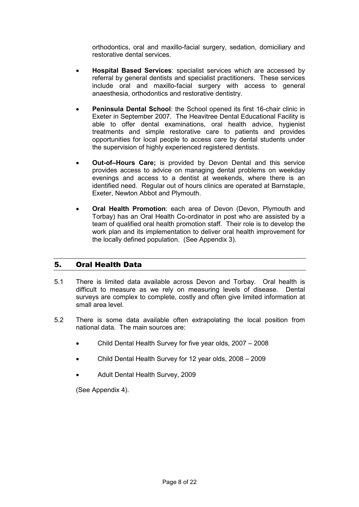orthodontics, oral and maxillo-facial surgery, sedation, domiciliary and restorative dental services.

- **Hospital Based Services**: specialist services which are accessed by referral by general dentists and specialist practitioners. These services include oral and maxillo-facial surgery with access to general anaesthesia, orthodontics and restorative dentistry.
- **Peninsula Dental School**: the School opened its first 16-chair clinic in Exeter in September 2007. The Heavitree Dental Educational Facility is able to offer dental examinations, oral health advice, hygienist treatments and simple restorative care to patients and provides opportunities for local people to access care by dental students under the supervision of highly experienced registered dentists.
- **Out-of–Hours Care;** is provided by Devon Dental and this service provides access to advice on managing dental problems on weekday evenings and access to a dentist at weekends, where there is an identified need. Regular out of hours clinics are operated at Barnstaple, Exeter, Newton Abbot and Plymouth.
- **Oral Health Promotion**: each area of Devon (Devon, Plymouth and Torbay) has an Oral Health Co-ordinator in post who are assisted by a team of qualified oral health promotion staff. Their role is to develop the work plan and its implementation to deliver oral health improvement for the locally defined population. (See Appendix 3).

# 5. Oral Health Data

- 5.1 There is limited data available across Devon and Torbay. Oral health is difficult to measure as we rely on measuring levels of disease. Dental surveys are complex to complete, costly and often give limited information at small area level.
- 5.2 There is some data available often extrapolating the local position from national data. The main sources are:
	- Child Dental Health Survey for five year olds, 2007 2008
	- Child Dental Health Survey for 12 year olds, 2008 2009
	- Adult Dental Health Survey, 2009

(See Appendix 4).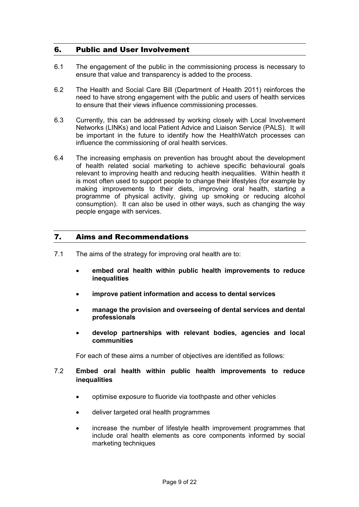### 6. Public and User Involvement

- 6.1 The engagement of the public in the commissioning process is necessary to ensure that value and transparency is added to the process.
- 6.2 The Health and Social Care Bill (Department of Health 2011) reinforces the need to have strong engagement with the public and users of health services to ensure that their views influence commissioning processes.
- 6.3 Currently, this can be addressed by working closely with Local Involvement Networks (LINKs) and local Patient Advice and Liaison Service (PALS). It will be important in the future to identify how the HealthWatch processes can influence the commissioning of oral health services.
- 6.4 The increasing emphasis on prevention has brought about the development of health related social marketing to achieve specific behavioural goals relevant to improving health and reducing health inequalities. Within health it is most often used to support people to change their lifestyles (for example by making improvements to their diets, improving oral health, starting a programme of physical activity, giving up smoking or reducing alcohol consumption). It can also be used in other ways, such as changing the way people engage with services.

### 7. Aims and Recommendations

- 7.1 The aims of the strategy for improving oral health are to:
	- **embed oral health within public health improvements to reduce inequalities**
	- **improve patient information and access to dental services**
	- **manage the provision and overseeing of dental services and dental professionals**
	- **develop partnerships with relevant bodies, agencies and local communities**

For each of these aims a number of objectives are identified as follows:

### 7.2 **Embed oral health within public health improvements to reduce inequalities**

- optimise exposure to fluoride via toothpaste and other vehicles
- deliver targeted oral health programmes
- increase the number of lifestyle health improvement programmes that include oral health elements as core components informed by social marketing techniques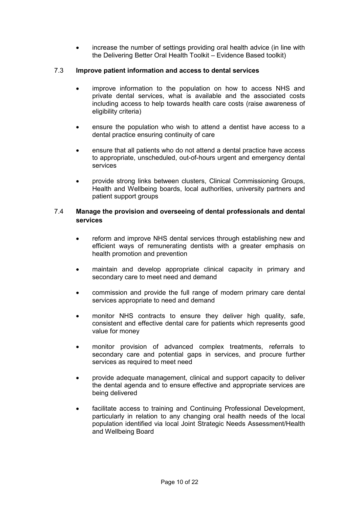increase the number of settings providing oral health advice (in line with the Delivering Better Oral Health Toolkit – Evidence Based toolkit)

### 7.3 **Improve patient information and access to dental services**

- improve information to the population on how to access NHS and private dental services, what is available and the associated costs including access to help towards health care costs (raise awareness of eligibility criteria)
- ensure the population who wish to attend a dentist have access to a dental practice ensuring continuity of care
- ensure that all patients who do not attend a dental practice have access to appropriate, unscheduled, out-of-hours urgent and emergency dental services
- provide strong links between clusters, Clinical Commissioning Groups, Health and Wellbeing boards, local authorities, university partners and patient support groups

### 7.4 **Manage the provision and overseeing of dental professionals and dental services**

- reform and improve NHS dental services through establishing new and efficient ways of remunerating dentists with a greater emphasis on health promotion and prevention
- maintain and develop appropriate clinical capacity in primary and secondary care to meet need and demand
- commission and provide the full range of modern primary care dental services appropriate to need and demand
- monitor NHS contracts to ensure they deliver high quality, safe, consistent and effective dental care for patients which represents good value for money
- monitor provision of advanced complex treatments, referrals to secondary care and potential gaps in services, and procure further services as required to meet need
- provide adequate management, clinical and support capacity to deliver the dental agenda and to ensure effective and appropriate services are being delivered
- facilitate access to training and Continuing Professional Development, particularly in relation to any changing oral health needs of the local population identified via local Joint Strategic Needs Assessment/Health and Wellbeing Board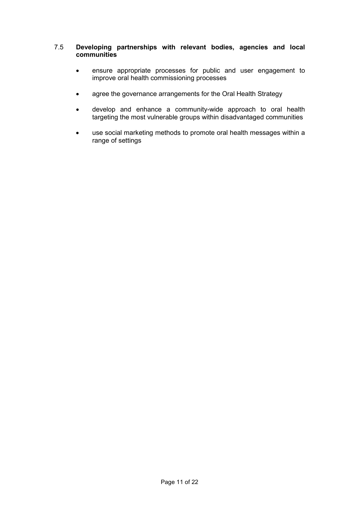### 7.5 **Developing partnerships with relevant bodies, agencies and local communities**

- ensure appropriate processes for public and user engagement to improve oral health commissioning processes
- agree the governance arrangements for the Oral Health Strategy
- develop and enhance a community-wide approach to oral health targeting the most vulnerable groups within disadvantaged communities
- use social marketing methods to promote oral health messages within a range of settings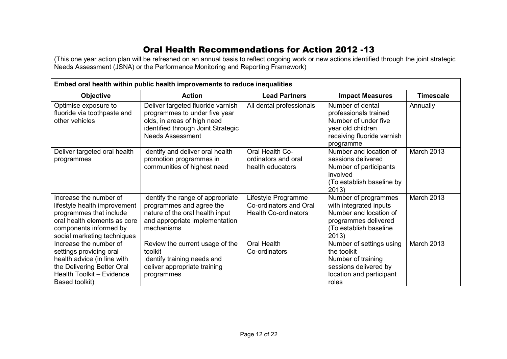# Oral Health Recommendations for Action 2012 -13

(This one year action plan will be refreshed on an annual basis to reflect ongoing work or new actions identified through the joint strategic<br>Needs Assessment (JSNA) or the Performance Monitoring and Reporting Framework)

| Embed oral health within public health improvements to reduce inequalities                                                                                                 |                                                                                                                                                                    |                                                                              |                                                                                                                                     |            |
|----------------------------------------------------------------------------------------------------------------------------------------------------------------------------|--------------------------------------------------------------------------------------------------------------------------------------------------------------------|------------------------------------------------------------------------------|-------------------------------------------------------------------------------------------------------------------------------------|------------|
| <b>Objective</b>                                                                                                                                                           | <b>Action</b>                                                                                                                                                      | <b>Lead Partners</b>                                                         | <b>Impact Measures</b>                                                                                                              |            |
| Optimise exposure to<br>fluoride via toothpaste and<br>other vehicles                                                                                                      | Deliver targeted fluoride varnish<br>programmes to under five year<br>olds, in areas of high need<br>identified through Joint Strategic<br><b>Needs Assessment</b> | All dental professionals                                                     | Number of dental<br>professionals trained<br>Number of under five<br>year old children<br>receiving fluoride varnish<br>programme   | Annually   |
| Deliver targeted oral health<br>programmes                                                                                                                                 | Identify and deliver oral health<br>promotion programmes in<br>communities of highest need                                                                         | Oral Health Co-<br>ordinators and oral<br>health educators                   | Number and location of<br>sessions delivered<br>Number of participants<br>involved<br>(To establish baseline by<br>2013)            | March 2013 |
| Increase the number of<br>lifestyle health improvement<br>programmes that include<br>oral health elements as core<br>components informed by<br>social marketing techniques | Identify the range of appropriate<br>programmes and agree the<br>nature of the oral health input<br>and appropriate implementation<br>mechanisms                   | Lifestyle Programme<br>Co-ordinators and Oral<br><b>Health Co-ordinators</b> | Number of programmes<br>with integrated inputs<br>Number and location of<br>programmes delivered<br>(To establish baseline<br>2013) | March 2013 |
| Increase the number of<br>settings providing oral<br>health advice (in line with<br>the Delivering Better Oral<br>Health Toolkit - Evidence<br>Based toolkit)              | Review the current usage of the<br>toolkit<br>Identify training needs and<br>deliver appropriate training<br>programmes                                            | Oral Health<br>Co-ordinators                                                 | Number of settings using<br>the toolkit<br>Number of training<br>sessions delivered by<br>location and participant<br>roles         | March 2013 |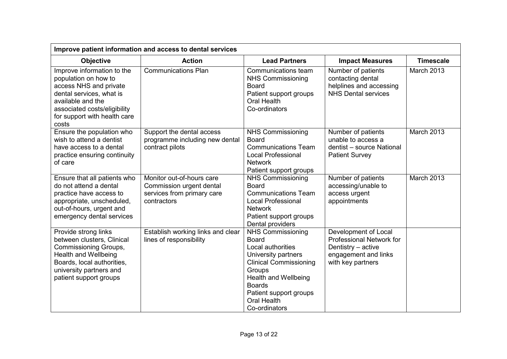| Improve patient information and access to dental services                                                                                                                                              |                                                                                                    |                                                                                                                                                                                                                                           |                                                                                                                     |                   |
|--------------------------------------------------------------------------------------------------------------------------------------------------------------------------------------------------------|----------------------------------------------------------------------------------------------------|-------------------------------------------------------------------------------------------------------------------------------------------------------------------------------------------------------------------------------------------|---------------------------------------------------------------------------------------------------------------------|-------------------|
| <b>Objective</b>                                                                                                                                                                                       | <b>Action</b>                                                                                      | <b>Lead Partners</b>                                                                                                                                                                                                                      | <b>Impact Measures</b>                                                                                              | <b>Timescale</b>  |
| Improve information to the<br>population on how to<br>access NHS and private<br>dental services, what is<br>available and the<br>associated costs/eligibility<br>for support with health care<br>costs | <b>Communications Plan</b>                                                                         | Communications team<br><b>NHS Commissioning</b><br><b>Board</b><br>Patient support groups<br><b>Oral Health</b><br>Co-ordinators                                                                                                          | Number of patients<br>contacting dental<br>helplines and accessing<br><b>NHS Dental services</b>                    | March 2013        |
| Ensure the population who<br>wish to attend a dentist<br>have access to a dental<br>practice ensuring continuity<br>of care                                                                            | Support the dental access<br>programme including new dental<br>contract pilots                     | <b>NHS Commissioning</b><br><b>Board</b><br><b>Communications Team</b><br><b>Local Professional</b><br><b>Network</b><br>Patient support groups                                                                                           | Number of patients<br>unable to access a<br>dentist - source National<br><b>Patient Survey</b>                      | March 2013        |
| Ensure that all patients who<br>do not attend a dental<br>practice have access to<br>appropriate, unscheduled,<br>out-of-hours, urgent and<br>emergency dental services                                | Monitor out-of-hours care<br>Commission urgent dental<br>services from primary care<br>contractors | <b>NHS Commissioning</b><br><b>Board</b><br><b>Communications Team</b><br><b>Local Professional</b><br><b>Network</b><br>Patient support groups<br>Dental providers                                                                       | Number of patients<br>accessing/unable to<br>access urgent<br>appointments                                          | <b>March 2013</b> |
| Provide strong links<br>between clusters, Clinical<br>Commissioning Groups,<br>Health and Wellbeing<br>Boards, local authorities,<br>university partners and<br>patient support groups                 | Establish working links and clear<br>lines of responsibility                                       | <b>NHS Commissioning</b><br><b>Board</b><br>Local authorities<br>University partners<br><b>Clinical Commissioning</b><br>Groups<br><b>Health and Wellbeing</b><br><b>Boards</b><br>Patient support groups<br>Oral Health<br>Co-ordinators | Development of Local<br>Professional Network for<br>Dentistry - active<br>engagement and links<br>with key partners |                   |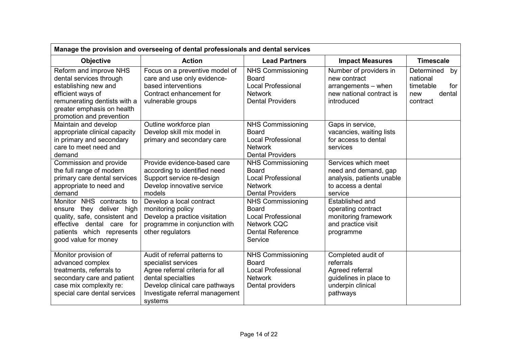| Manage the provision and overseeing of dental professionals and dental services                                                                                                                                                                                               |                                                                                                                                                                                                                                                                         |                                                                                                                                                                                                                                              |                                                                                                                                                                                                               |                                                                               |
|-------------------------------------------------------------------------------------------------------------------------------------------------------------------------------------------------------------------------------------------------------------------------------|-------------------------------------------------------------------------------------------------------------------------------------------------------------------------------------------------------------------------------------------------------------------------|----------------------------------------------------------------------------------------------------------------------------------------------------------------------------------------------------------------------------------------------|---------------------------------------------------------------------------------------------------------------------------------------------------------------------------------------------------------------|-------------------------------------------------------------------------------|
| <b>Objective</b>                                                                                                                                                                                                                                                              | <b>Action</b>                                                                                                                                                                                                                                                           | <b>Lead Partners</b>                                                                                                                                                                                                                         | <b>Impact Measures</b>                                                                                                                                                                                        | <b>Timescale</b>                                                              |
| Reform and improve NHS<br>dental services through<br>establishing new and<br>efficient ways of<br>remunerating dentists with a<br>greater emphasis on health<br>promotion and prevention                                                                                      | Focus on a preventive model of<br>care and use only evidence-<br>based interventions<br>Contract enhancement for<br>vulnerable groups                                                                                                                                   | <b>NHS Commissioning</b><br><b>Board</b><br><b>Local Professional</b><br><b>Network</b><br><b>Dental Providers</b>                                                                                                                           | Number of providers in<br>new contract<br>arrangements - when<br>new national contract is<br>introduced                                                                                                       | Determined<br>by<br>national<br>timetable<br>for<br>dental<br>new<br>contract |
| Maintain and develop<br>appropriate clinical capacity<br>in primary and secondary<br>care to meet need and<br>demand                                                                                                                                                          | Outline workforce plan<br>Develop skill mix model in<br>primary and secondary care                                                                                                                                                                                      | <b>NHS Commissioning</b><br><b>Board</b><br><b>Local Professional</b><br><b>Network</b><br><b>Dental Providers</b>                                                                                                                           | Gaps in service,<br>vacancies, waiting lists<br>for access to dental<br>services                                                                                                                              |                                                                               |
| Commission and provide<br>the full range of modern<br>primary care dental services<br>appropriate to need and<br>demand<br>Monitor NHS contracts to<br>they deliver high<br>ensure<br>quality, safe, consistent and<br>effective dental care for<br>patients which represents | Provide evidence-based care<br>according to identified need<br>Support service re-design<br>Develop innovative service<br>models<br>Develop a local contract<br>monitoring policy<br>Develop a practice visitation<br>programme in conjunction with<br>other regulators | <b>NHS Commissioning</b><br><b>Board</b><br><b>Local Professional</b><br><b>Network</b><br><b>Dental Providers</b><br><b>NHS Commissioning</b><br><b>Board</b><br><b>Local Professional</b><br><b>Network CQC</b><br><b>Dental Reference</b> | Services which meet<br>need and demand, gap<br>analysis, patients unable<br>to access a dental<br>service<br>Established and<br>operating contract<br>monitoring framework<br>and practice visit<br>programme |                                                                               |
| good value for money<br>Monitor provision of<br>advanced complex<br>treatments, referrals to<br>secondary care and patient<br>case mix complexity re:<br>special care dental services                                                                                         | Audit of referral patterns to<br>specialist services<br>Agree referral criteria for all<br>dental specialties<br>Develop clinical care pathways<br>Investigate referral management<br>systems                                                                           | Service<br><b>NHS Commissioning</b><br><b>Board</b><br><b>Local Professional</b><br><b>Network</b><br>Dental providers                                                                                                                       | Completed audit of<br>referrals<br>Agreed referral<br>guidelines in place to<br>underpin clinical<br>pathways                                                                                                 |                                                                               |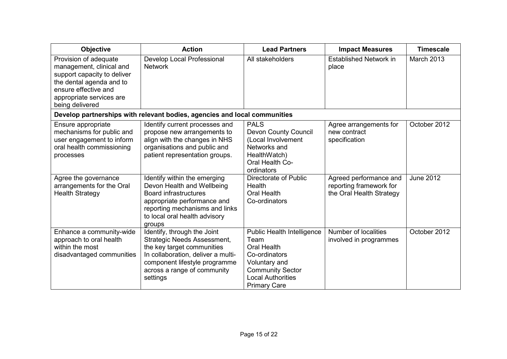| <b>Objective</b>                                                                                                                                                                    | <b>Action</b>                                                                                                                                                                                              | <b>Lead Partners</b>                                                                                                                                                     | <b>Impact Measures</b>                                                        | <b>Timescale</b> |
|-------------------------------------------------------------------------------------------------------------------------------------------------------------------------------------|------------------------------------------------------------------------------------------------------------------------------------------------------------------------------------------------------------|--------------------------------------------------------------------------------------------------------------------------------------------------------------------------|-------------------------------------------------------------------------------|------------------|
| Provision of adequate<br>management, clinical and<br>support capacity to deliver<br>the dental agenda and to<br>ensure effective and<br>appropriate services are<br>being delivered | Develop Local Professional<br><b>Network</b>                                                                                                                                                               | All stakeholders                                                                                                                                                         | <b>Established Network in</b><br>place                                        | March 2013       |
|                                                                                                                                                                                     | Develop partnerships with relevant bodies, agencies and local communities                                                                                                                                  |                                                                                                                                                                          |                                                                               |                  |
| Ensure appropriate<br>mechanisms for public and<br>user engagement to inform<br>oral health commissioning<br>processes                                                              | Identify current processes and<br>propose new arrangements to<br>align with the changes in NHS<br>organisations and public and<br>patient representation groups.                                           | <b>PALS</b><br><b>Devon County Council</b><br>(Local Involvement<br>Networks and<br>HealthWatch)<br>Oral Health Co-<br>ordinators                                        | Agree arrangements for<br>new contract<br>specification                       | October 2012     |
| Agree the governance<br>arrangements for the Oral<br><b>Health Strategy</b>                                                                                                         | Identify within the emerging<br>Devon Health and Wellbeing<br><b>Board infrastructures</b><br>appropriate performance and<br>reporting mechanisms and links<br>to local oral health advisory<br>groups     | Directorate of Public<br>Health<br><b>Oral Health</b><br>Co-ordinators                                                                                                   | Agreed performance and<br>reporting framework for<br>the Oral Health Strategy | <b>June 2012</b> |
| Enhance a community-wide<br>approach to oral health<br>within the most<br>disadvantaged communities                                                                                 | Identify, through the Joint<br>Strategic Needs Assessment,<br>the key target communities<br>In collaboration, deliver a multi-<br>component lifestyle programme<br>across a range of community<br>settings | Public Health Intelligence<br>Team<br><b>Oral Health</b><br>Co-ordinators<br>Voluntary and<br><b>Community Sector</b><br><b>Local Authorities</b><br><b>Primary Care</b> | Number of localities<br>involved in programmes                                | October 2012     |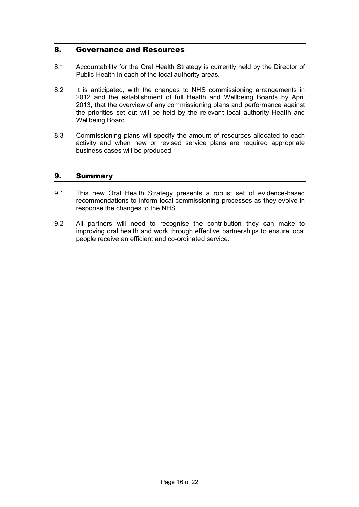### 8. Governance and Resources

- 8.1 Accountability for the Oral Health Strategy is currently held by the Director of Public Health in each of the local authority areas.
- 8.2 It is anticipated, with the changes to NHS commissioning arrangements in 2012 and the establishment of full Health and Wellbeing Boards by April 2013, that the overview of any commissioning plans and performance against the priorities set out will be held by the relevant local authority Health and Wellbeing Board.
- 8.3 Commissioning plans will specify the amount of resources allocated to each activity and when new or revised service plans are required appropriate business cases will be produced.

### 9. Summary

- 9.1 This new Oral Health Strategy presents a robust set of evidence-based recommendations to inform local commissioning processes as they evolve in response the changes to the NHS.
- 9.2 All partners will need to recognise the contribution they can make to improving oral health and work through effective partnerships to ensure local people receive an efficient and co-ordinated service.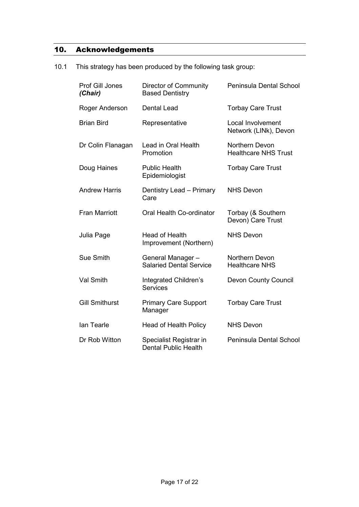# 10. Acknowledgements

10.1 This strategy has been produced by the following task group:

| Prof Gill Jones<br>(Chair) | Director of Community<br><b>Based Dentistry</b>        | Peninsula Dental School                       |
|----------------------------|--------------------------------------------------------|-----------------------------------------------|
| Roger Anderson             | <b>Dental Lead</b>                                     | <b>Torbay Care Trust</b>                      |
| <b>Brian Bird</b>          | Representative                                         | Local Involvement<br>Network (LINk), Devon    |
| Dr Colin Flanagan          | Lead in Oral Health<br>Promotion                       | Northern Devon<br><b>Healthcare NHS Trust</b> |
| Doug Haines                | <b>Public Health</b><br>Epidemiologist                 | <b>Torbay Care Trust</b>                      |
| <b>Andrew Harris</b>       | Dentistry Lead - Primary<br>Care                       | <b>NHS Devon</b>                              |
| <b>Fran Marriott</b>       | Oral Health Co-ordinator                               | Torbay (& Southern<br>Devon) Care Trust       |
| Julia Page                 | Head of Health<br>Improvement (Northern)               | <b>NHS Devon</b>                              |
| Sue Smith                  | General Manager-<br><b>Salaried Dental Service</b>     | Northern Devon<br><b>Healthcare NHS</b>       |
| <b>Val Smith</b>           | Integrated Children's<br><b>Services</b>               | <b>Devon County Council</b>                   |
| <b>Gill Smithurst</b>      | <b>Primary Care Support</b><br>Manager                 | <b>Torbay Care Trust</b>                      |
| <b>lan Tearle</b>          | Head of Health Policy                                  | <b>NHS Devon</b>                              |
| Dr Rob Witton              | Specialist Registrar in<br><b>Dental Public Health</b> | Peninsula Dental School                       |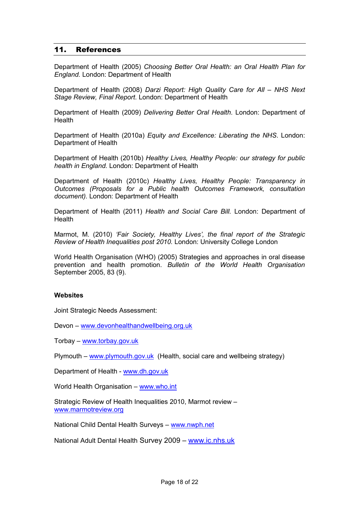### 11. References

Department of Health (2005) *Choosing Better Oral Health: an Oral Health Plan for England.* London: Department of Health

Department of Health (2008) *Darzi Report: High Quality Care for All – NHS Next Stage Review, Final Report*. London: Department of Health

Department of Health (2009) *Delivering Better Oral Health*. London: Department of Health

Department of Health (2010a) *Equity and Excellence: Liberating the NHS*. London: Department of Health

Department of Health (2010b) *Healthy Lives, Healthy People: our strategy for public health in England.* London: Department of Health

Department of Health (2010c) *Healthy Lives, Healthy People: Transparency in Outcomes (Proposals for a Public health Outcomes Framework, consultation document).* London: Department of Health

Department of Health (2011) *Health and Social Care Bill.* London: Department of **Health** 

Marmot, M. (2010) *'Fair Society, Healthy Lives', the final report of the Strategic Review of Health Inequalities post 2010.* London: University College London

World Health Organisation (WHO) (2005) Strategies and approaches in oral disease prevention and health promotion. *Bulletin of the World Health Organisation* September 2005, 83 (9).

#### **Websites**

Joint Strategic Needs Assessment:

Devon – www.devonhealthandwellbeing.org.uk

Torbay – www.torbay.gov.uk

Plymouth – www.plymouth.gov.uk (Health, social care and wellbeing strategy)

Department of Health - www.dh.gov.uk

World Health Organisation – www.who.int

Strategic Review of Health Inequalities 2010, Marmot review – www.marmotreview.org

National Child Dental Health Surveys – www.nwph.net

National Adult Dental Health Survey 2009 – www.ic.nhs.uk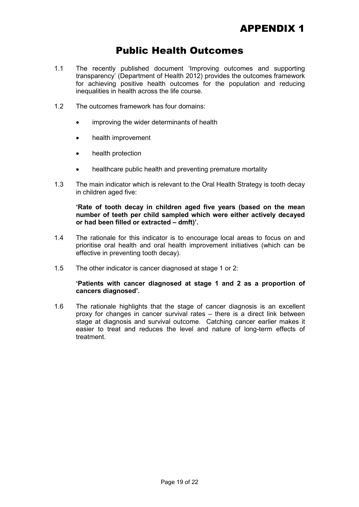# Public Health Outcomes

- 1.1 The recently published document 'Improving outcomes and supporting transparency' (Department of Health 2012) provides the outcomes framework for achieving positive health outcomes for the population and reducing inequalities in health across the life course.
- 1.2 The outcomes framework has four domains:
	- improving the wider determinants of health
	- health improvement
	- health protection
	- healthcare public health and preventing premature mortality
- 1.3 The main indicator which is relevant to the Oral Health Strategy is tooth decay in children aged five:

**'Rate of tooth decay in children aged five years (based on the mean number of teeth per child sampled which were either actively decayed or had been filled or extracted – dmft)'.** 

- 1.4 The rationale for this indicator is to encourage local areas to focus on and prioritise oral health and oral health improvement initiatives (which can be effective in preventing tooth decay).
- 1.5 The other indicator is cancer diagnosed at stage 1 or 2:

#### **'Patients with cancer diagnosed at stage 1 and 2 as a proportion of cancers diagnosed'.**

1.6 The rationale highlights that the stage of cancer diagnosis is an excellent proxy for changes in cancer survival rates – there is a direct link between stage at diagnosis and survival outcome. Catching cancer earlier makes it easier to treat and reduces the level and nature of long-term effects of treatment.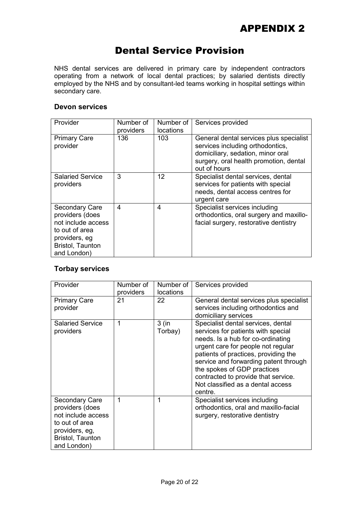# Dental Service Provision

NHS dental services are delivered in primary care by independent contractors operating from a network of local dental practices; by salaried dentists directly employed by the NHS and by consultant-led teams working in hospital settings within secondary care.

### **Devon services**

| Provider                                                                                                                             | Number of<br>providers | Number of<br>locations | Services provided                                                                                                                                                          |
|--------------------------------------------------------------------------------------------------------------------------------------|------------------------|------------------------|----------------------------------------------------------------------------------------------------------------------------------------------------------------------------|
| <b>Primary Care</b><br>provider                                                                                                      | 136                    | 103                    | General dental services plus specialist<br>services including orthodontics,<br>domiciliary, sedation, minor oral<br>surgery, oral health promotion, dental<br>out of hours |
| <b>Salaried Service</b><br>providers                                                                                                 | 3                      | 12                     | Specialist dental services, dental<br>services for patients with special<br>needs, dental access centres for<br>urgent care                                                |
| <b>Secondary Care</b><br>providers (does<br>not include access<br>to out of area<br>providers, eg<br>Bristol, Taunton<br>and London) | 4                      | 4                      | Specialist services including<br>orthodontics, oral surgery and maxillo-<br>facial surgery, restorative dentistry                                                          |

# **Torbay services**

| Provider                                                                                                                              | Number of<br>providers | Number of<br>locations | Services provided                                                                                                                                                                                                                                                                                                                                          |
|---------------------------------------------------------------------------------------------------------------------------------------|------------------------|------------------------|------------------------------------------------------------------------------------------------------------------------------------------------------------------------------------------------------------------------------------------------------------------------------------------------------------------------------------------------------------|
| <b>Primary Care</b><br>provider                                                                                                       | 21                     | 22                     | General dental services plus specialist<br>services including orthodontics and<br>domiciliary services                                                                                                                                                                                                                                                     |
| <b>Salaried Service</b><br>providers                                                                                                  | 1                      | $3$ (in<br>Torbay)     | Specialist dental services, dental<br>services for patients with special<br>needs. Is a hub for co-ordinating<br>urgent care for people not regular<br>patients of practices, providing the<br>service and forwarding patent through<br>the spokes of GDP practices<br>contracted to provide that service.<br>Not classified as a dental access<br>centre. |
| <b>Secondary Care</b><br>providers (does<br>not include access<br>to out of area<br>providers, eg,<br>Bristol, Taunton<br>and London) | 1                      |                        | Specialist services including<br>orthodontics, oral and maxillo-facial<br>surgery, restorative dentistry                                                                                                                                                                                                                                                   |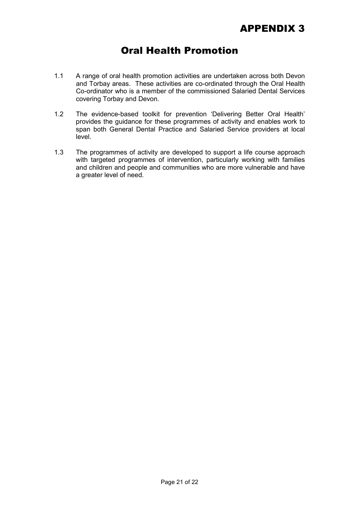# Oral Health Promotion

- 1.1 A range of oral health promotion activities are undertaken across both Devon and Torbay areas. These activities are co-ordinated through the Oral Health Co-ordinator who is a member of the commissioned Salaried Dental Services covering Torbay and Devon.
- 1.2 The evidence-based toolkit for prevention 'Delivering Better Oral Health' provides the guidance for these programmes of activity and enables work to span both General Dental Practice and Salaried Service providers at local level.
- 1.3 The programmes of activity are developed to support a life course approach with targeted programmes of intervention, particularly working with families and children and people and communities who are more vulnerable and have a greater level of need.